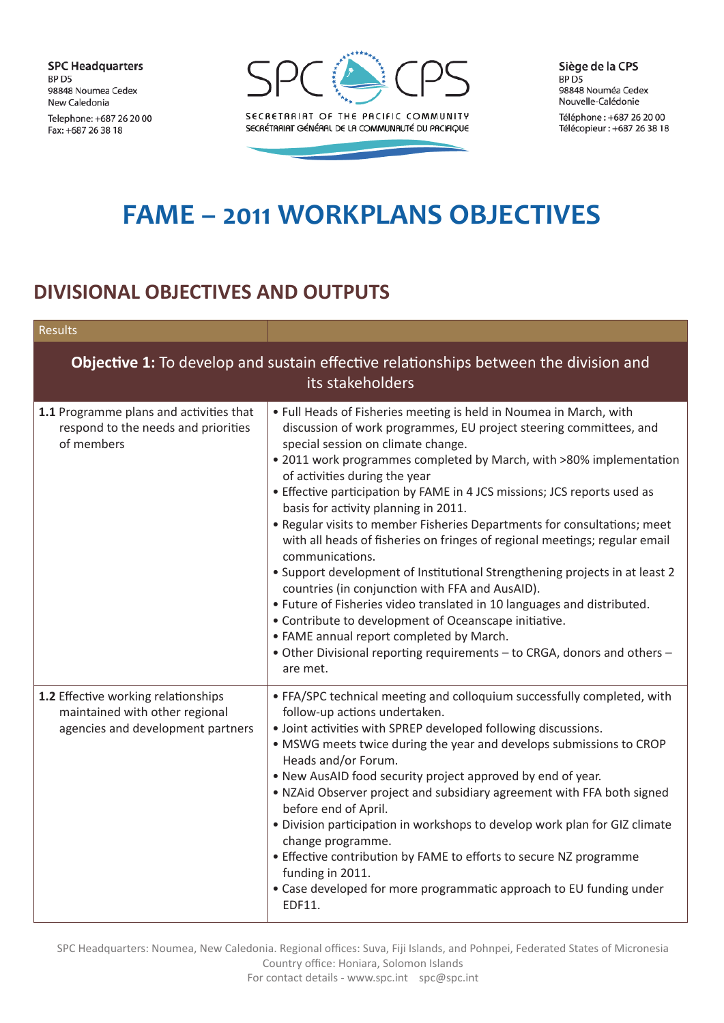**SPC Headquarters** BP D5 98848 Noumea Cedex New Caledonia Telephone: +687 26 20 00 Fax: +687 26 38 18



Siège de la CPS BP<sub>D5</sub> 98848 Nouméa Cedex Nouvelle-Calédonie

Téléphone: +687 26 20 00 Télécopieur : +687 26 38 18

## **FAME – 2011 WORKPLANS OBJECTIVES**

## **DIVISIONAL OBJECTIVES AND OUTPUTS**

| <b>Results</b>                                                                                                  |                                                                                                                                                                                                                                                                                                                                                                                                                                                                                                                                                                                                                                                                                                                                                                                                                                                                                                                                                                                                   |  |
|-----------------------------------------------------------------------------------------------------------------|---------------------------------------------------------------------------------------------------------------------------------------------------------------------------------------------------------------------------------------------------------------------------------------------------------------------------------------------------------------------------------------------------------------------------------------------------------------------------------------------------------------------------------------------------------------------------------------------------------------------------------------------------------------------------------------------------------------------------------------------------------------------------------------------------------------------------------------------------------------------------------------------------------------------------------------------------------------------------------------------------|--|
| <b>Objective 1:</b> To develop and sustain effective relationships between the division and<br>its stakeholders |                                                                                                                                                                                                                                                                                                                                                                                                                                                                                                                                                                                                                                                                                                                                                                                                                                                                                                                                                                                                   |  |
| 1.1 Programme plans and activities that<br>respond to the needs and priorities<br>of members                    | • Full Heads of Fisheries meeting is held in Noumea in March, with<br>discussion of work programmes, EU project steering committees, and<br>special session on climate change.<br>• 2011 work programmes completed by March, with >80% implementation<br>of activities during the year<br>• Effective participation by FAME in 4 JCS missions; JCS reports used as<br>basis for activity planning in 2011.<br>• Regular visits to member Fisheries Departments for consultations; meet<br>with all heads of fisheries on fringes of regional meetings; regular email<br>communications.<br>• Support development of Institutional Strengthening projects in at least 2<br>countries (in conjunction with FFA and AusAID).<br>• Future of Fisheries video translated in 10 languages and distributed.<br>• Contribute to development of Oceanscape initiative.<br>• FAME annual report completed by March.<br>• Other Divisional reporting requirements - to CRGA, donors and others -<br>are met. |  |
| 1.2 Effective working relationships<br>maintained with other regional<br>agencies and development partners      | • FFA/SPC technical meeting and colloquium successfully completed, with<br>follow-up actions undertaken.<br>· Joint activities with SPREP developed following discussions.<br>• MSWG meets twice during the year and develops submissions to CROP<br>Heads and/or Forum.<br>. New AusAID food security project approved by end of year.<br>. NZAid Observer project and subsidiary agreement with FFA both signed<br>before end of April.<br>. Division participation in workshops to develop work plan for GIZ climate<br>change programme.<br>• Effective contribution by FAME to efforts to secure NZ programme<br>funding in 2011.<br>• Case developed for more programmatic approach to EU funding under<br>EDF11.                                                                                                                                                                                                                                                                           |  |

SPC Headquarters: Noumea, New Caledonia. Regional offices: Suva, Fiji Islands, and Pohnpei, Federated States of Micronesia Country office: Honiara, Solomon Islands

For contact details - www.spc.int spc@spc.int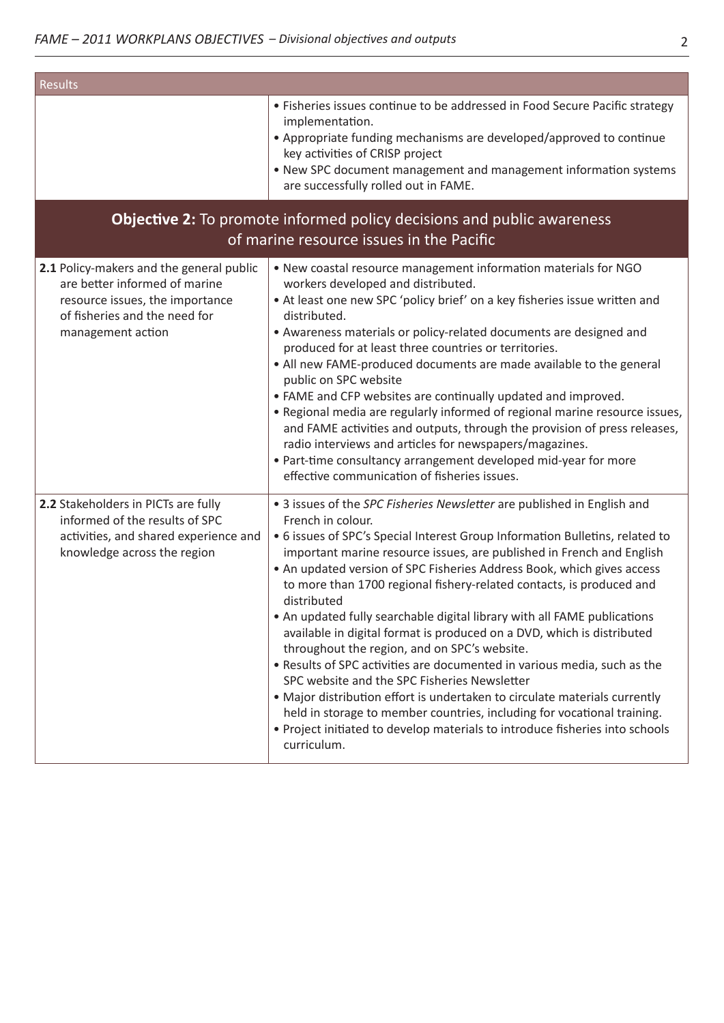| Results                                                                                                                                                            |                                                                                                                                                                                                                                                                                                                                                                                                                                                                                                                                                                                                                                                                                                                                                                                                                                                                                                                                                                                                                  |  |
|--------------------------------------------------------------------------------------------------------------------------------------------------------------------|------------------------------------------------------------------------------------------------------------------------------------------------------------------------------------------------------------------------------------------------------------------------------------------------------------------------------------------------------------------------------------------------------------------------------------------------------------------------------------------------------------------------------------------------------------------------------------------------------------------------------------------------------------------------------------------------------------------------------------------------------------------------------------------------------------------------------------------------------------------------------------------------------------------------------------------------------------------------------------------------------------------|--|
|                                                                                                                                                                    | • Fisheries issues continue to be addressed in Food Secure Pacific strategy<br>implementation.<br>• Appropriate funding mechanisms are developed/approved to continue<br>key activities of CRISP project<br>. New SPC document management and management information systems<br>are successfully rolled out in FAME.                                                                                                                                                                                                                                                                                                                                                                                                                                                                                                                                                                                                                                                                                             |  |
| <b>Objective 2:</b> To promote informed policy decisions and public awareness<br>of marine resource issues in the Pacific                                          |                                                                                                                                                                                                                                                                                                                                                                                                                                                                                                                                                                                                                                                                                                                                                                                                                                                                                                                                                                                                                  |  |
| 2.1 Policy-makers and the general public<br>are better informed of marine<br>resource issues, the importance<br>of fisheries and the need for<br>management action | . New coastal resource management information materials for NGO<br>workers developed and distributed.<br>• At least one new SPC 'policy brief' on a key fisheries issue written and<br>distributed.<br>• Awareness materials or policy-related documents are designed and<br>produced for at least three countries or territories.<br>• All new FAME-produced documents are made available to the general<br>public on SPC website<br>• FAME and CFP websites are continually updated and improved.<br>. Regional media are regularly informed of regional marine resource issues,<br>and FAME activities and outputs, through the provision of press releases,<br>radio interviews and articles for newspapers/magazines.<br>• Part-time consultancy arrangement developed mid-year for more<br>effective communication of fisheries issues.                                                                                                                                                                    |  |
| 2.2 Stakeholders in PICTs are fully<br>informed of the results of SPC<br>activities, and shared experience and<br>knowledge across the region                      | • 3 issues of the SPC Fisheries Newsletter are published in English and<br>French in colour.<br>• 6 issues of SPC's Special Interest Group Information Bulletins, related to<br>important marine resource issues, are published in French and English<br>• An updated version of SPC Fisheries Address Book, which gives access<br>to more than 1700 regional fishery-related contacts, is produced and<br>distributed<br>• An updated fully searchable digital library with all FAME publications<br>available in digital format is produced on a DVD, which is distributed<br>throughout the region, and on SPC's website.<br>• Results of SPC activities are documented in various media, such as the<br>SPC website and the SPC Fisheries Newsletter<br>• Major distribution effort is undertaken to circulate materials currently<br>held in storage to member countries, including for vocational training.<br>• Project initiated to develop materials to introduce fisheries into schools<br>curriculum. |  |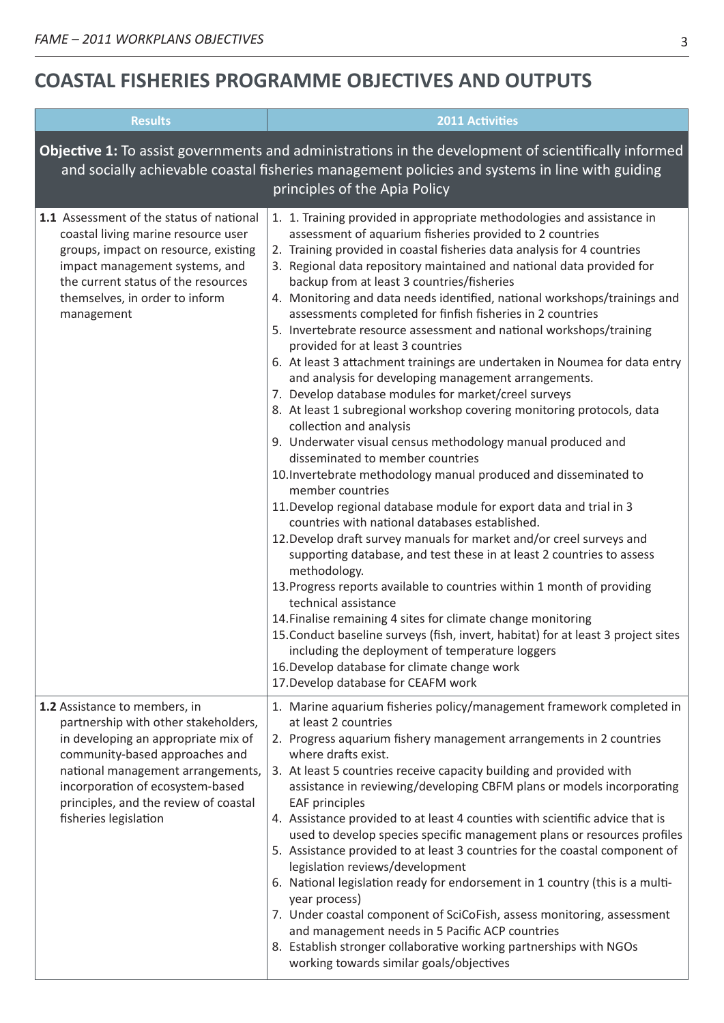## **COASTAL FISHERIES PROGRAMME OBJECTIVES AND OUTPUTS**

| <b>Results</b>                                                                                                                                                                                                                                                                            | <b>2011 Activities</b>                                                                                                                                                                                                                                                                                                                                                                                                                                                                                                                                                                                                                                                                                                                                                                                                                                                                                                                                                                                                                                                                                                                                                                                                                                                                                                                                                                                                                                                                                                                                                                                                                                                                                                                                                                |
|-------------------------------------------------------------------------------------------------------------------------------------------------------------------------------------------------------------------------------------------------------------------------------------------|---------------------------------------------------------------------------------------------------------------------------------------------------------------------------------------------------------------------------------------------------------------------------------------------------------------------------------------------------------------------------------------------------------------------------------------------------------------------------------------------------------------------------------------------------------------------------------------------------------------------------------------------------------------------------------------------------------------------------------------------------------------------------------------------------------------------------------------------------------------------------------------------------------------------------------------------------------------------------------------------------------------------------------------------------------------------------------------------------------------------------------------------------------------------------------------------------------------------------------------------------------------------------------------------------------------------------------------------------------------------------------------------------------------------------------------------------------------------------------------------------------------------------------------------------------------------------------------------------------------------------------------------------------------------------------------------------------------------------------------------------------------------------------------|
|                                                                                                                                                                                                                                                                                           | Objective 1: To assist governments and administrations in the development of scientifically informed<br>and socially achievable coastal fisheries management policies and systems in line with guiding<br>principles of the Apia Policy                                                                                                                                                                                                                                                                                                                                                                                                                                                                                                                                                                                                                                                                                                                                                                                                                                                                                                                                                                                                                                                                                                                                                                                                                                                                                                                                                                                                                                                                                                                                               |
| 1.1 Assessment of the status of national<br>coastal living marine resource user<br>groups, impact on resource, existing<br>impact management systems, and<br>the current status of the resources<br>themselves, in order to inform<br>management                                          | 1. 1. Training provided in appropriate methodologies and assistance in<br>assessment of aquarium fisheries provided to 2 countries<br>2. Training provided in coastal fisheries data analysis for 4 countries<br>3. Regional data repository maintained and national data provided for<br>backup from at least 3 countries/fisheries<br>4. Monitoring and data needs identified, national workshops/trainings and<br>assessments completed for finfish fisheries in 2 countries<br>5. Invertebrate resource assessment and national workshops/training<br>provided for at least 3 countries<br>6. At least 3 attachment trainings are undertaken in Noumea for data entry<br>and analysis for developing management arrangements.<br>7. Develop database modules for market/creel surveys<br>8. At least 1 subregional workshop covering monitoring protocols, data<br>collection and analysis<br>9. Underwater visual census methodology manual produced and<br>disseminated to member countries<br>10. Invertebrate methodology manual produced and disseminated to<br>member countries<br>11. Develop regional database module for export data and trial in 3<br>countries with national databases established.<br>12. Develop draft survey manuals for market and/or creel surveys and<br>supporting database, and test these in at least 2 countries to assess<br>methodology.<br>13. Progress reports available to countries within 1 month of providing<br>technical assistance<br>14. Finalise remaining 4 sites for climate change monitoring<br>15. Conduct baseline surveys (fish, invert, habitat) for at least 3 project sites<br>including the deployment of temperature loggers<br>16. Develop database for climate change work<br>17. Develop database for CEAFM work |
| 1.2 Assistance to members, in<br>partnership with other stakeholders,<br>in developing an appropriate mix of<br>community-based approaches and<br>national management arrangements,<br>incorporation of ecosystem-based<br>principles, and the review of coastal<br>fisheries legislation | 1. Marine aquarium fisheries policy/management framework completed in<br>at least 2 countries<br>2. Progress aquarium fishery management arrangements in 2 countries<br>where drafts exist.<br>3. At least 5 countries receive capacity building and provided with<br>assistance in reviewing/developing CBFM plans or models incorporating<br><b>EAF principles</b><br>4. Assistance provided to at least 4 counties with scientific advice that is<br>used to develop species specific management plans or resources profiles<br>5. Assistance provided to at least 3 countries for the coastal component of<br>legislation reviews/development<br>6. National legislation ready for endorsement in 1 country (this is a multi-<br>year process)<br>7. Under coastal component of SciCoFish, assess monitoring, assessment<br>and management needs in 5 Pacific ACP countries<br>8. Establish stronger collaborative working partnerships with NGOs<br>working towards similar goals/objectives                                                                                                                                                                                                                                                                                                                                                                                                                                                                                                                                                                                                                                                                                                                                                                                     |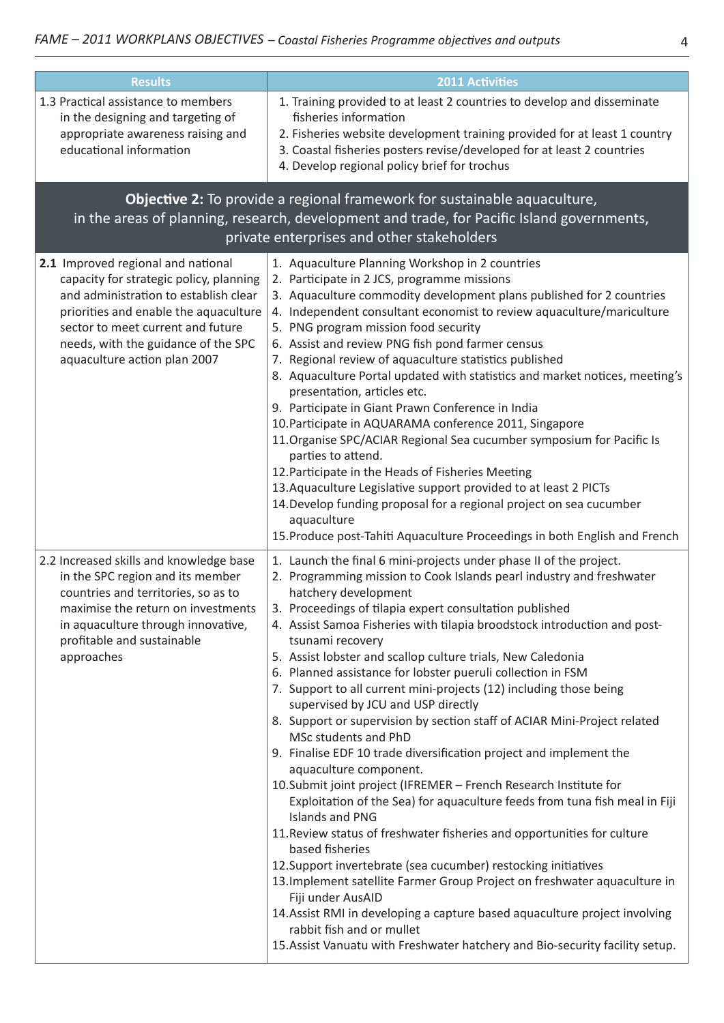| <b>Results</b>                                                                                                                                                                                                                                                              | <b>2011 Activities</b>                                                                                                                                                                                                                                                                                                                                                                                                                                                                                                                                                                                                                                                                                                                                                                                                                                                                                                                                                                                                                                                                                                                                                                                                                                                                                                                                                                                         |
|-----------------------------------------------------------------------------------------------------------------------------------------------------------------------------------------------------------------------------------------------------------------------------|----------------------------------------------------------------------------------------------------------------------------------------------------------------------------------------------------------------------------------------------------------------------------------------------------------------------------------------------------------------------------------------------------------------------------------------------------------------------------------------------------------------------------------------------------------------------------------------------------------------------------------------------------------------------------------------------------------------------------------------------------------------------------------------------------------------------------------------------------------------------------------------------------------------------------------------------------------------------------------------------------------------------------------------------------------------------------------------------------------------------------------------------------------------------------------------------------------------------------------------------------------------------------------------------------------------------------------------------------------------------------------------------------------------|
| 1.3 Practical assistance to members<br>in the designing and targeting of                                                                                                                                                                                                    | 1. Training provided to at least 2 countries to develop and disseminate<br>fisheries information                                                                                                                                                                                                                                                                                                                                                                                                                                                                                                                                                                                                                                                                                                                                                                                                                                                                                                                                                                                                                                                                                                                                                                                                                                                                                                               |
| appropriate awareness raising and<br>educational information                                                                                                                                                                                                                | 2. Fisheries website development training provided for at least 1 country<br>3. Coastal fisheries posters revise/developed for at least 2 countries<br>4. Develop regional policy brief for trochus                                                                                                                                                                                                                                                                                                                                                                                                                                                                                                                                                                                                                                                                                                                                                                                                                                                                                                                                                                                                                                                                                                                                                                                                            |
|                                                                                                                                                                                                                                                                             | Objective 2: To provide a regional framework for sustainable aquaculture,<br>in the areas of planning, research, development and trade, for Pacific Island governments,<br>private enterprises and other stakeholders                                                                                                                                                                                                                                                                                                                                                                                                                                                                                                                                                                                                                                                                                                                                                                                                                                                                                                                                                                                                                                                                                                                                                                                          |
| 2.1 Improved regional and national<br>capacity for strategic policy, planning<br>and administration to establish clear<br>priorities and enable the aquaculture<br>sector to meet current and future<br>needs, with the guidance of the SPC<br>aquaculture action plan 2007 | 1. Aquaculture Planning Workshop in 2 countries<br>2. Participate in 2 JCS, programme missions<br>3. Aquaculture commodity development plans published for 2 countries<br>4. Independent consultant economist to review aquaculture/mariculture<br>5. PNG program mission food security<br>6. Assist and review PNG fish pond farmer census<br>7. Regional review of aquaculture statistics published<br>8. Aquaculture Portal updated with statistics and market notices, meeting's<br>presentation, articles etc.<br>9. Participate in Giant Prawn Conference in India<br>10. Participate in AQUARAMA conference 2011, Singapore<br>11. Organise SPC/ACIAR Regional Sea cucumber symposium for Pacific Is<br>parties to attend.<br>12. Participate in the Heads of Fisheries Meeting<br>13. Aquaculture Legislative support provided to at least 2 PICTs<br>14. Develop funding proposal for a regional project on sea cucumber<br>aquaculture<br>15. Produce post-Tahiti Aquaculture Proceedings in both English and French                                                                                                                                                                                                                                                                                                                                                                                 |
| 2.2 Increased skills and knowledge base<br>in the SPC region and its member<br>countries and territories, so as to<br>maximise the return on investments<br>in aquaculture through innovative,<br>profitable and sustainable<br>approaches                                  | 1. Launch the final 6 mini-projects under phase II of the project.<br>2. Programming mission to Cook Islands pearl industry and freshwater<br>hatchery development<br>3. Proceedings of tilapia expert consultation published<br>4. Assist Samoa Fisheries with tilapia broodstock introduction and post-<br>tsunami recovery<br>5. Assist lobster and scallop culture trials, New Caledonia<br>6. Planned assistance for lobster pueruli collection in FSM<br>7. Support to all current mini-projects (12) including those being<br>supervised by JCU and USP directly<br>8. Support or supervision by section staff of ACIAR Mini-Project related<br>MSc students and PhD<br>9. Finalise EDF 10 trade diversification project and implement the<br>aquaculture component.<br>10. Submit joint project (IFREMER - French Research Institute for<br>Exploitation of the Sea) for aquaculture feeds from tuna fish meal in Fiji<br>Islands and PNG<br>11. Review status of freshwater fisheries and opportunities for culture<br>based fisheries<br>12. Support invertebrate (sea cucumber) restocking initiatives<br>13. Implement satellite Farmer Group Project on freshwater aquaculture in<br>Fiji under AusAID<br>14. Assist RMI in developing a capture based aquaculture project involving<br>rabbit fish and or mullet<br>15. Assist Vanuatu with Freshwater hatchery and Bio-security facility setup. |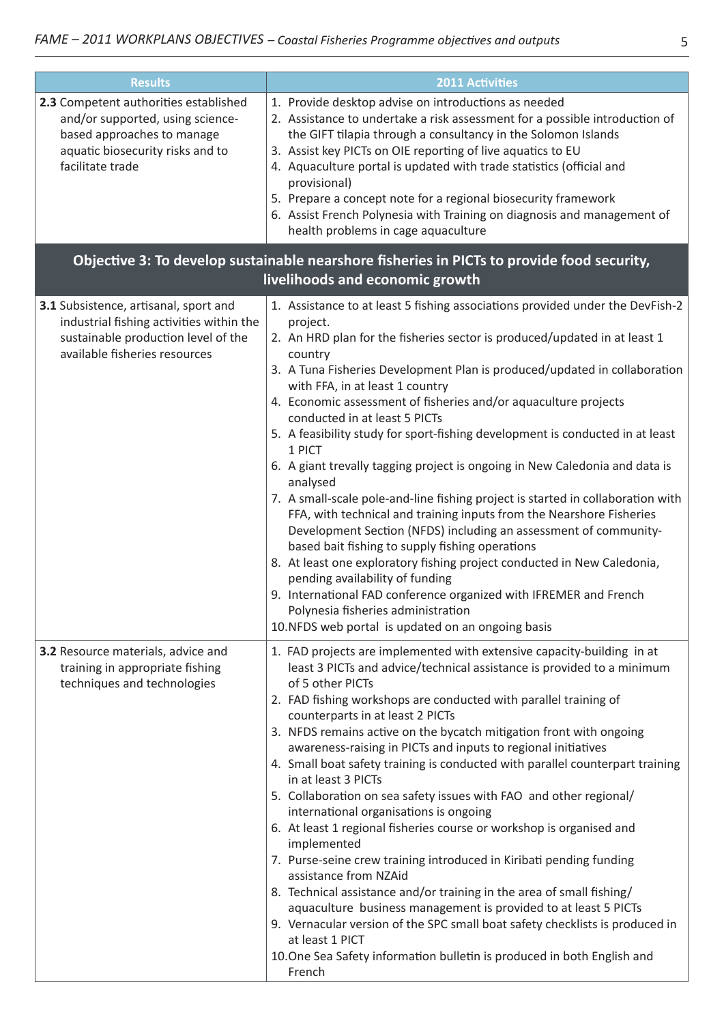| <b>Results</b>                                                                                                                                                  | <b>2011 Activities</b>                                                                                                                                                                                                                                                                                                                                                                                                                                                                                                                                                                                                                                                                                                                                                                                                                                                                                                                                                                                                                                                                                                                                                  |
|-----------------------------------------------------------------------------------------------------------------------------------------------------------------|-------------------------------------------------------------------------------------------------------------------------------------------------------------------------------------------------------------------------------------------------------------------------------------------------------------------------------------------------------------------------------------------------------------------------------------------------------------------------------------------------------------------------------------------------------------------------------------------------------------------------------------------------------------------------------------------------------------------------------------------------------------------------------------------------------------------------------------------------------------------------------------------------------------------------------------------------------------------------------------------------------------------------------------------------------------------------------------------------------------------------------------------------------------------------|
| 2.3 Competent authorities established<br>and/or supported, using science-<br>based approaches to manage<br>aquatic biosecurity risks and to<br>facilitate trade | 1. Provide desktop advise on introductions as needed<br>2. Assistance to undertake a risk assessment for a possible introduction of<br>the GIFT tilapia through a consultancy in the Solomon Islands<br>3. Assist key PICTs on OIE reporting of live aquatics to EU<br>4. Aquaculture portal is updated with trade statistics (official and<br>provisional)<br>5. Prepare a concept note for a regional biosecurity framework<br>6. Assist French Polynesia with Training on diagnosis and management of<br>health problems in cage aquaculture                                                                                                                                                                                                                                                                                                                                                                                                                                                                                                                                                                                                                         |
|                                                                                                                                                                 | Objective 3: To develop sustainable nearshore fisheries in PICTs to provide food security,                                                                                                                                                                                                                                                                                                                                                                                                                                                                                                                                                                                                                                                                                                                                                                                                                                                                                                                                                                                                                                                                              |
|                                                                                                                                                                 | livelihoods and economic growth                                                                                                                                                                                                                                                                                                                                                                                                                                                                                                                                                                                                                                                                                                                                                                                                                                                                                                                                                                                                                                                                                                                                         |
| 3.1 Subsistence, artisanal, sport and<br>industrial fishing activities within the<br>sustainable production level of the<br>available fisheries resources       | 1. Assistance to at least 5 fishing associations provided under the DevFish-2<br>project.<br>2. An HRD plan for the fisheries sector is produced/updated in at least 1<br>country<br>3. A Tuna Fisheries Development Plan is produced/updated in collaboration<br>with FFA, in at least 1 country<br>4. Economic assessment of fisheries and/or aquaculture projects<br>conducted in at least 5 PICTs<br>5. A feasibility study for sport-fishing development is conducted in at least<br>1 PICT<br>6. A giant trevally tagging project is ongoing in New Caledonia and data is<br>analysed<br>7. A small-scale pole-and-line fishing project is started in collaboration with<br>FFA, with technical and training inputs from the Nearshore Fisheries<br>Development Section (NFDS) including an assessment of community-<br>based bait fishing to supply fishing operations<br>8. At least one exploratory fishing project conducted in New Caledonia,<br>pending availability of funding<br>9. International FAD conference organized with IFREMER and French<br>Polynesia fisheries administration<br>10. NFDS web portal is updated on an ongoing basis            |
| 3.2 Resource materials, advice and<br>training in appropriate fishing<br>techniques and technologies                                                            | 1. FAD projects are implemented with extensive capacity-building in at<br>least 3 PICTs and advice/technical assistance is provided to a minimum<br>of 5 other PICTs<br>2. FAD fishing workshops are conducted with parallel training of<br>counterparts in at least 2 PICTs<br>3. NFDS remains active on the bycatch mitigation front with ongoing<br>awareness-raising in PICTs and inputs to regional initiatives<br>4. Small boat safety training is conducted with parallel counterpart training<br>in at least 3 PICTs<br>5. Collaboration on sea safety issues with FAO and other regional/<br>international organisations is ongoing<br>6. At least 1 regional fisheries course or workshop is organised and<br>implemented<br>7. Purse-seine crew training introduced in Kiribati pending funding<br>assistance from NZAid<br>8. Technical assistance and/or training in the area of small fishing/<br>aquaculture business management is provided to at least 5 PICTs<br>9. Vernacular version of the SPC small boat safety checklists is produced in<br>at least 1 PICT<br>10. One Sea Safety information bulletin is produced in both English and<br>French |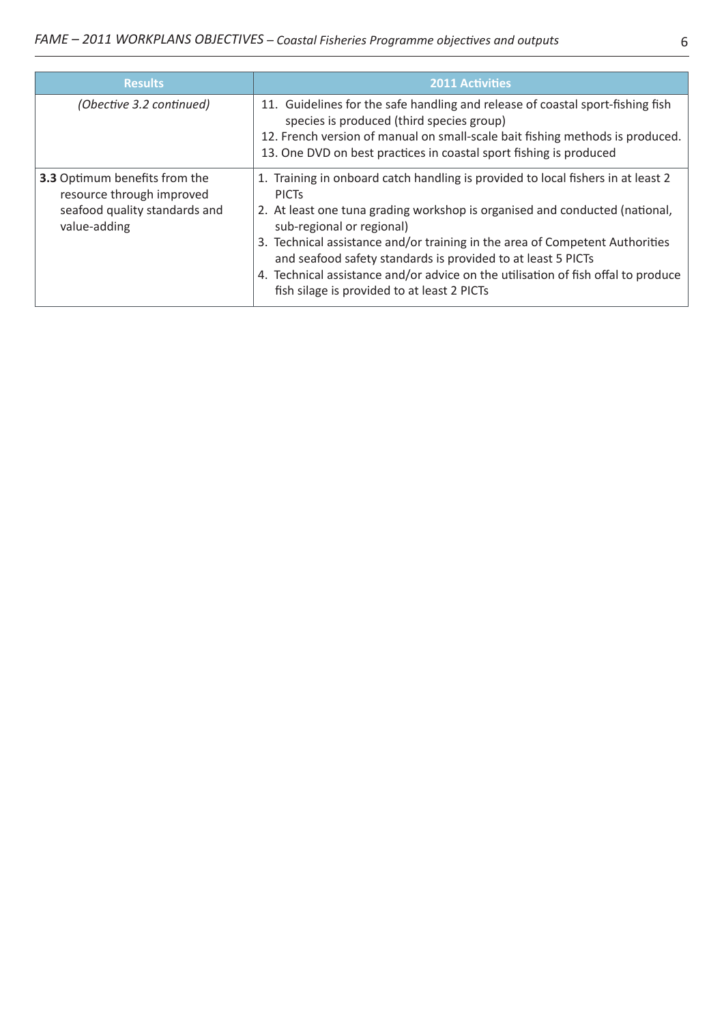| <b>Results</b>                                                                                              | <b>2011 Activities</b>                                                                                                                                                                                                                                                                                                                                                                                                                                                                           |
|-------------------------------------------------------------------------------------------------------------|--------------------------------------------------------------------------------------------------------------------------------------------------------------------------------------------------------------------------------------------------------------------------------------------------------------------------------------------------------------------------------------------------------------------------------------------------------------------------------------------------|
| (Obective 3.2 continued)                                                                                    | 11. Guidelines for the safe handling and release of coastal sport-fishing fish<br>species is produced (third species group)<br>12. French version of manual on small-scale bait fishing methods is produced.<br>13. One DVD on best practices in coastal sport fishing is produced                                                                                                                                                                                                               |
| 3.3 Optimum benefits from the<br>resource through improved<br>seafood quality standards and<br>value-adding | 1. Training in onboard catch handling is provided to local fishers in at least 2<br><b>PICTS</b><br>2. At least one tuna grading workshop is organised and conducted (national,<br>sub-regional or regional)<br>3. Technical assistance and/or training in the area of Competent Authorities<br>and seafood safety standards is provided to at least 5 PICTs<br>4. Technical assistance and/or advice on the utilisation of fish offal to produce<br>fish silage is provided to at least 2 PICTs |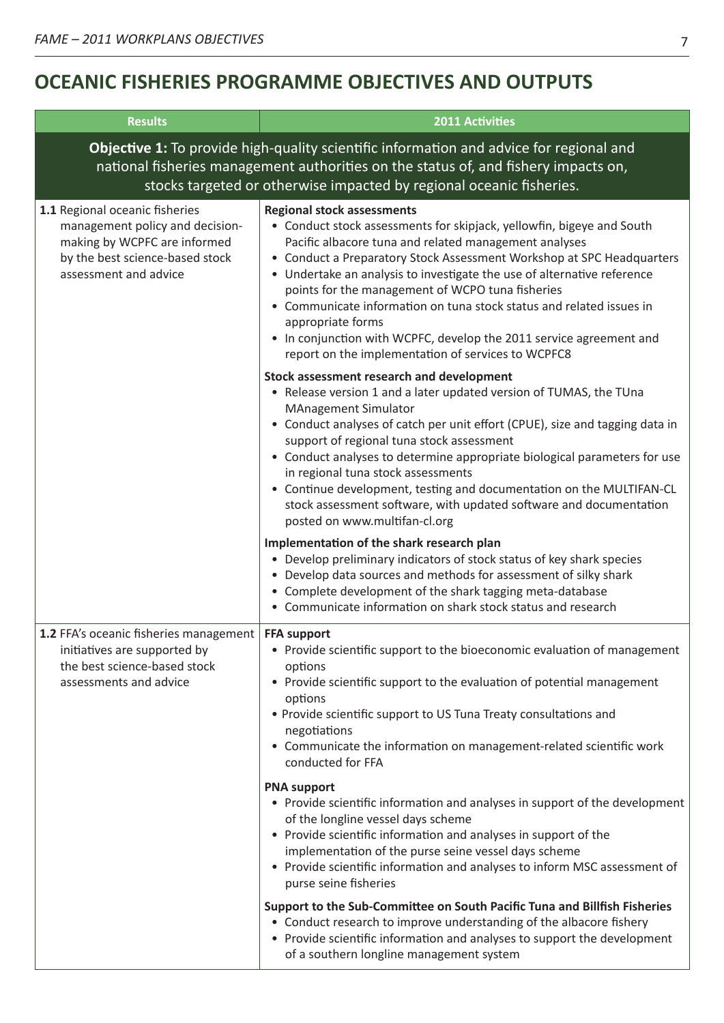## **OCEANIC FISHERIES PROGRAMME OBJECTIVES AND OUTPUTS**

| <b>Results</b>                                                                                                                                                                                                                                         | <b>2011 Activities</b>                                                                                                                                                                                                                                                                                                                                                                                                                                                                                                                                                                                                                                                                                                                                                                                                                                                                               |
|--------------------------------------------------------------------------------------------------------------------------------------------------------------------------------------------------------------------------------------------------------|------------------------------------------------------------------------------------------------------------------------------------------------------------------------------------------------------------------------------------------------------------------------------------------------------------------------------------------------------------------------------------------------------------------------------------------------------------------------------------------------------------------------------------------------------------------------------------------------------------------------------------------------------------------------------------------------------------------------------------------------------------------------------------------------------------------------------------------------------------------------------------------------------|
| Objective 1: To provide high-quality scientific information and advice for regional and<br>national fisheries management authorities on the status of, and fishery impacts on,<br>stocks targeted or otherwise impacted by regional oceanic fisheries. |                                                                                                                                                                                                                                                                                                                                                                                                                                                                                                                                                                                                                                                                                                                                                                                                                                                                                                      |
| 1.1 Regional oceanic fisheries<br>management policy and decision-<br>making by WCPFC are informed<br>by the best science-based stock<br>assessment and advice                                                                                          | <b>Regional stock assessments</b><br>• Conduct stock assessments for skipjack, yellowfin, bigeye and South<br>Pacific albacore tuna and related management analyses<br>• Conduct a Preparatory Stock Assessment Workshop at SPC Headquarters<br>• Undertake an analysis to investigate the use of alternative reference<br>points for the management of WCPO tuna fisheries<br>• Communicate information on tuna stock status and related issues in<br>appropriate forms<br>• In conjunction with WCPFC, develop the 2011 service agreement and<br>report on the implementation of services to WCPFC8                                                                                                                                                                                                                                                                                                |
|                                                                                                                                                                                                                                                        | Stock assessment research and development<br>• Release version 1 and a later updated version of TUMAS, the TUna<br><b>MAnagement Simulator</b><br>• Conduct analyses of catch per unit effort (CPUE), size and tagging data in<br>support of regional tuna stock assessment<br>• Conduct analyses to determine appropriate biological parameters for use<br>in regional tuna stock assessments<br>• Continue development, testing and documentation on the MULTIFAN-CL<br>stock assessment software, with updated software and documentation<br>posted on www.multifan-cl.org<br>Implementation of the shark research plan<br>• Develop preliminary indicators of stock status of key shark species<br>• Develop data sources and methods for assessment of silky shark<br>• Complete development of the shark tagging meta-database<br>• Communicate information on shark stock status and research |
| 1.2 FFA's oceanic fisheries management<br>initiatives are supported by<br>the best science-based stock<br>assessments and advice                                                                                                                       | <b>FFA support</b><br>• Provide scientific support to the bioeconomic evaluation of management<br>options<br>• Provide scientific support to the evaluation of potential management<br>options<br>• Provide scientific support to US Tuna Treaty consultations and<br>negotiations<br>• Communicate the information on management-related scientific work<br>conducted for FFA<br><b>PNA support</b><br>• Provide scientific information and analyses in support of the development                                                                                                                                                                                                                                                                                                                                                                                                                  |
|                                                                                                                                                                                                                                                        | of the longline vessel days scheme<br>• Provide scientific information and analyses in support of the<br>implementation of the purse seine vessel days scheme<br>• Provide scientific information and analyses to inform MSC assessment of<br>purse seine fisheries<br>Support to the Sub-Committee on South Pacific Tuna and Billfish Fisheries<br>• Conduct research to improve understanding of the albacore fishery<br>• Provide scientific information and analyses to support the development<br>of a southern longline management system                                                                                                                                                                                                                                                                                                                                                      |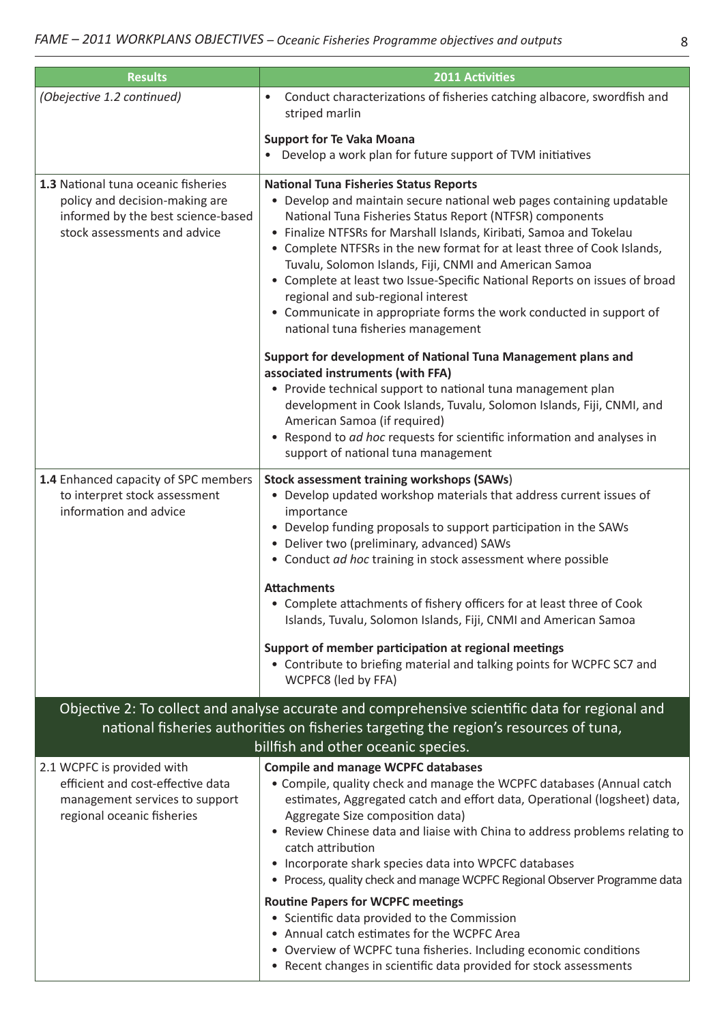| <b>Results</b>                                                                                                                              | <b>2011 Activities</b>                                                                                                                                                                                                                                                                                                                                                                                                                                                                                                                                                                                                                                                                                                                                               |
|---------------------------------------------------------------------------------------------------------------------------------------------|----------------------------------------------------------------------------------------------------------------------------------------------------------------------------------------------------------------------------------------------------------------------------------------------------------------------------------------------------------------------------------------------------------------------------------------------------------------------------------------------------------------------------------------------------------------------------------------------------------------------------------------------------------------------------------------------------------------------------------------------------------------------|
| (Obejective 1.2 continued)                                                                                                                  | Conduct characterizations of fisheries catching albacore, swordfish and<br>striped marlin                                                                                                                                                                                                                                                                                                                                                                                                                                                                                                                                                                                                                                                                            |
|                                                                                                                                             | <b>Support for Te Vaka Moana</b><br>• Develop a work plan for future support of TVM initiatives                                                                                                                                                                                                                                                                                                                                                                                                                                                                                                                                                                                                                                                                      |
| 1.3 National tuna oceanic fisheries<br>policy and decision-making are<br>informed by the best science-based<br>stock assessments and advice | <b>National Tuna Fisheries Status Reports</b><br>• Develop and maintain secure national web pages containing updatable<br>National Tuna Fisheries Status Report (NTFSR) components<br>• Finalize NTFSRs for Marshall Islands, Kiribati, Samoa and Tokelau<br>• Complete NTFSRs in the new format for at least three of Cook Islands,<br>Tuvalu, Solomon Islands, Fiji, CNMI and American Samoa<br>• Complete at least two Issue-Specific National Reports on issues of broad<br>regional and sub-regional interest<br>• Communicate in appropriate forms the work conducted in support of<br>national tuna fisheries management                                                                                                                                      |
|                                                                                                                                             | Support for development of National Tuna Management plans and<br>associated instruments (with FFA)<br>• Provide technical support to national tuna management plan<br>development in Cook Islands, Tuvalu, Solomon Islands, Fiji, CNMI, and<br>American Samoa (if required)<br>• Respond to ad hoc requests for scientific information and analyses in<br>support of national tuna management                                                                                                                                                                                                                                                                                                                                                                        |
| 1.4 Enhanced capacity of SPC members<br>to interpret stock assessment<br>information and advice                                             | <b>Stock assessment training workshops (SAWs)</b><br>• Develop updated workshop materials that address current issues of<br>importance<br>• Develop funding proposals to support participation in the SAWs<br>• Deliver two (preliminary, advanced) SAWs<br>• Conduct ad hoc training in stock assessment where possible                                                                                                                                                                                                                                                                                                                                                                                                                                             |
|                                                                                                                                             | <b>Attachments</b><br>• Complete attachments of fishery officers for at least three of Cook<br>Islands, Tuvalu, Solomon Islands, Fiji, CNMI and American Samoa                                                                                                                                                                                                                                                                                                                                                                                                                                                                                                                                                                                                       |
|                                                                                                                                             | Support of member participation at regional meetings<br>• Contribute to briefing material and talking points for WCPFC SC7 and<br>WCPFC8 (led by FFA)                                                                                                                                                                                                                                                                                                                                                                                                                                                                                                                                                                                                                |
|                                                                                                                                             | Objective 2: To collect and analyse accurate and comprehensive scientific data for regional and                                                                                                                                                                                                                                                                                                                                                                                                                                                                                                                                                                                                                                                                      |
| national fisheries authorities on fisheries targeting the region's resources of tuna,<br>billfish and other oceanic species.                |                                                                                                                                                                                                                                                                                                                                                                                                                                                                                                                                                                                                                                                                                                                                                                      |
| 2.1 WCPFC is provided with<br>efficient and cost-effective data<br>management services to support<br>regional oceanic fisheries             | <b>Compile and manage WCPFC databases</b><br>• Compile, quality check and manage the WCPFC databases (Annual catch<br>estimates, Aggregated catch and effort data, Operational (logsheet) data,<br>Aggregate Size composition data)<br>• Review Chinese data and liaise with China to address problems relating to<br>catch attribution<br>• Incorporate shark species data into WPCFC databases<br>• Process, quality check and manage WCPFC Regional Observer Programme data<br><b>Routine Papers for WCPFC meetings</b><br>• Scientific data provided to the Commission<br>• Annual catch estimates for the WCPFC Area<br>• Overview of WCPFC tuna fisheries. Including economic conditions<br>• Recent changes in scientific data provided for stock assessments |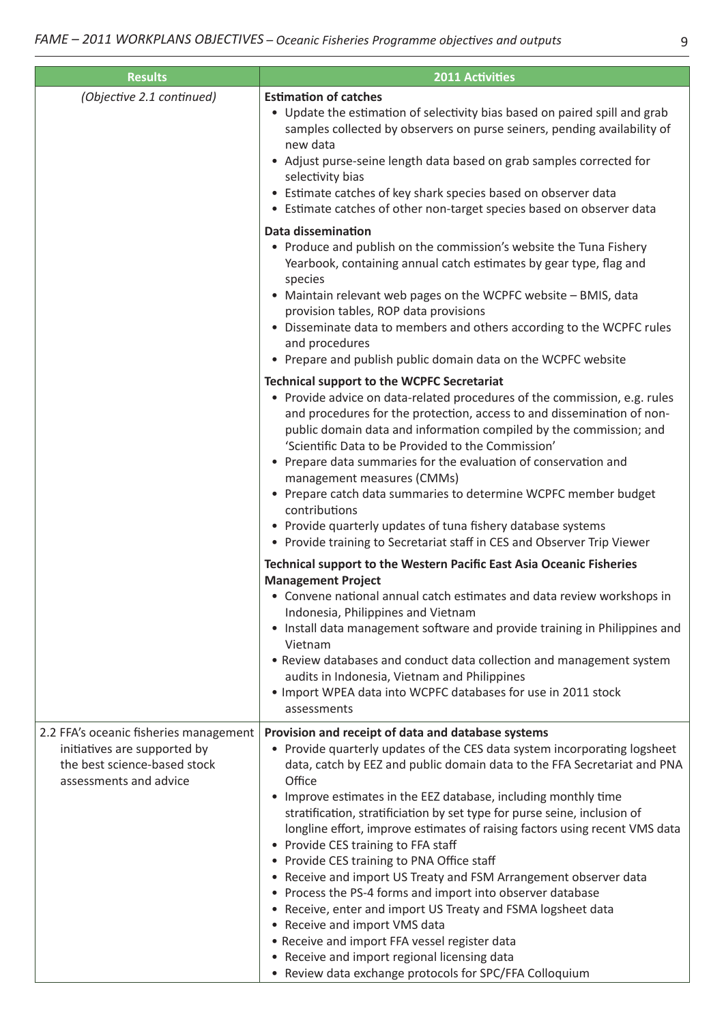| <b>Results</b>                                                                                                                   | <b>2011 Activities</b>                                                                                                                                                                                                                                                                                                                                                                                                                                                                                                                                                                                                                                                                                                                                                                                                                                                                                                                   |
|----------------------------------------------------------------------------------------------------------------------------------|------------------------------------------------------------------------------------------------------------------------------------------------------------------------------------------------------------------------------------------------------------------------------------------------------------------------------------------------------------------------------------------------------------------------------------------------------------------------------------------------------------------------------------------------------------------------------------------------------------------------------------------------------------------------------------------------------------------------------------------------------------------------------------------------------------------------------------------------------------------------------------------------------------------------------------------|
| (Objective 2.1 continued)                                                                                                        | <b>Estimation of catches</b><br>• Update the estimation of selectivity bias based on paired spill and grab<br>samples collected by observers on purse seiners, pending availability of<br>new data<br>• Adjust purse-seine length data based on grab samples corrected for<br>selectivity bias<br>• Estimate catches of key shark species based on observer data<br>• Estimate catches of other non-target species based on observer data                                                                                                                                                                                                                                                                                                                                                                                                                                                                                                |
|                                                                                                                                  | <b>Data dissemination</b><br>• Produce and publish on the commission's website the Tuna Fishery<br>Yearbook, containing annual catch estimates by gear type, flag and<br>species<br>• Maintain relevant web pages on the WCPFC website - BMIS, data<br>provision tables, ROP data provisions<br>Disseminate data to members and others according to the WCPFC rules<br>and procedures<br>• Prepare and publish public domain data on the WCPFC website                                                                                                                                                                                                                                                                                                                                                                                                                                                                                   |
|                                                                                                                                  | <b>Technical support to the WCPFC Secretariat</b><br>• Provide advice on data-related procedures of the commission, e.g. rules<br>and procedures for the protection, access to and dissemination of non-<br>public domain data and information compiled by the commission; and<br>'Scientific Data to be Provided to the Commission'<br>• Prepare data summaries for the evaluation of conservation and<br>management measures (CMMs)<br>• Prepare catch data summaries to determine WCPFC member budget<br>contributions<br>• Provide quarterly updates of tuna fishery database systems<br>• Provide training to Secretariat staff in CES and Observer Trip Viewer                                                                                                                                                                                                                                                                     |
|                                                                                                                                  | Technical support to the Western Pacific East Asia Oceanic Fisheries<br><b>Management Project</b><br>• Convene national annual catch estimates and data review workshops in<br>Indonesia, Philippines and Vietnam<br>• Install data management software and provide training in Philippines and<br>Vietnam<br>• Review databases and conduct data collection and management system<br>audits in Indonesia, Vietnam and Philippines<br>. Import WPEA data into WCPFC databases for use in 2011 stock<br>assessments                                                                                                                                                                                                                                                                                                                                                                                                                       |
| 2.2 FFA's oceanic fisheries management<br>initiatives are supported by<br>the best science-based stock<br>assessments and advice | Provision and receipt of data and database systems<br>• Provide quarterly updates of the CES data system incorporating logsheet<br>data, catch by EEZ and public domain data to the FFA Secretariat and PNA<br>Office<br>• Improve estimates in the EEZ database, including monthly time<br>stratification, stratificiation by set type for purse seine, inclusion of<br>longline effort, improve estimates of raising factors using recent VMS data<br>• Provide CES training to FFA staff<br>• Provide CES training to PNA Office staff<br>• Receive and import US Treaty and FSM Arrangement observer data<br>• Process the PS-4 forms and import into observer database<br>• Receive, enter and import US Treaty and FSMA logsheet data<br>• Receive and import VMS data<br>• Receive and import FFA vessel register data<br>• Receive and import regional licensing data<br>• Review data exchange protocols for SPC/FFA Colloquium |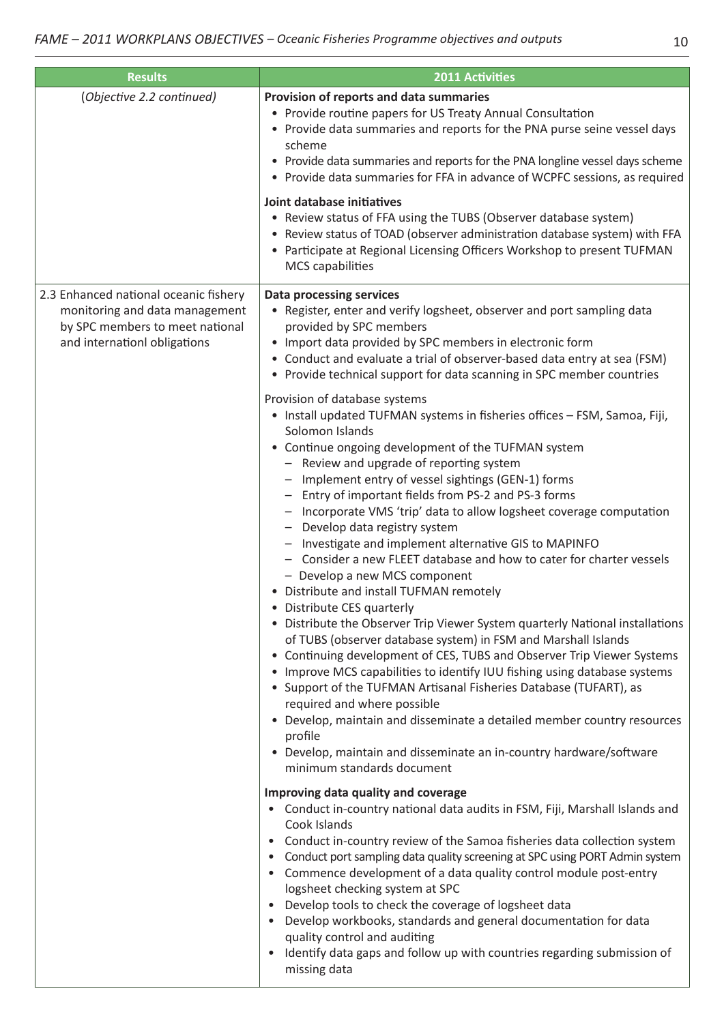| <b>Results</b>                                                                                                                             | <b>2011 Activities</b>                                                                                                                                                                                                                                                                                                                                                                                                                                                                                                                                                                                                                                                                                                                                                                                                                                                                                                                                                                                                                                                                                                                                                                                                                                                                                  |
|--------------------------------------------------------------------------------------------------------------------------------------------|---------------------------------------------------------------------------------------------------------------------------------------------------------------------------------------------------------------------------------------------------------------------------------------------------------------------------------------------------------------------------------------------------------------------------------------------------------------------------------------------------------------------------------------------------------------------------------------------------------------------------------------------------------------------------------------------------------------------------------------------------------------------------------------------------------------------------------------------------------------------------------------------------------------------------------------------------------------------------------------------------------------------------------------------------------------------------------------------------------------------------------------------------------------------------------------------------------------------------------------------------------------------------------------------------------|
| (Objective 2.2 continued)                                                                                                                  | Provision of reports and data summaries<br>• Provide routine papers for US Treaty Annual Consultation<br>• Provide data summaries and reports for the PNA purse seine vessel days<br>scheme<br>• Provide data summaries and reports for the PNA longline vessel days scheme<br>• Provide data summaries for FFA in advance of WCPFC sessions, as required                                                                                                                                                                                                                                                                                                                                                                                                                                                                                                                                                                                                                                                                                                                                                                                                                                                                                                                                               |
|                                                                                                                                            | Joint database initiatives<br>• Review status of FFA using the TUBS (Observer database system)<br>• Review status of TOAD (observer administration database system) with FFA<br>• Participate at Regional Licensing Officers Workshop to present TUFMAN<br><b>MCS</b> capabilities                                                                                                                                                                                                                                                                                                                                                                                                                                                                                                                                                                                                                                                                                                                                                                                                                                                                                                                                                                                                                      |
| 2.3 Enhanced national oceanic fishery<br>monitoring and data management<br>by SPC members to meet national<br>and internationl obligations | <b>Data processing services</b><br>• Register, enter and verify logsheet, observer and port sampling data<br>provided by SPC members<br>• Import data provided by SPC members in electronic form<br>• Conduct and evaluate a trial of observer-based data entry at sea (FSM)<br>• Provide technical support for data scanning in SPC member countries                                                                                                                                                                                                                                                                                                                                                                                                                                                                                                                                                                                                                                                                                                                                                                                                                                                                                                                                                   |
|                                                                                                                                            | Provision of database systems<br>• Install updated TUFMAN systems in fisheries offices - FSM, Samoa, Fiji,<br>Solomon Islands<br>• Continue ongoing development of the TUFMAN system<br>- Review and upgrade of reporting system<br>Implement entry of vessel sightings (GEN-1) forms<br>Entry of important fields from PS-2 and PS-3 forms<br>- Incorporate VMS 'trip' data to allow logsheet coverage computation<br>- Develop data registry system<br>- Investigate and implement alternative GIS to MAPINFO<br>Consider a new FLEET database and how to cater for charter vessels<br>- Develop a new MCS component<br>• Distribute and install TUFMAN remotely<br>Distribute CES quarterly<br>• Distribute the Observer Trip Viewer System quarterly National installations<br>of TUBS (observer database system) in FSM and Marshall Islands<br>• Continuing development of CES, TUBS and Observer Trip Viewer Systems<br>• Improve MCS capabilities to identify IUU fishing using database systems<br>• Support of the TUFMAN Artisanal Fisheries Database (TUFART), as<br>required and where possible<br>• Develop, maintain and disseminate a detailed member country resources<br>profile<br>• Develop, maintain and disseminate an in-country hardware/software<br>minimum standards document |
|                                                                                                                                            | Improving data quality and coverage<br>Conduct in-country national data audits in FSM, Fiji, Marshall Islands and<br>Cook Islands<br>Conduct in-country review of the Samoa fisheries data collection system<br>$\bullet$<br>Conduct port sampling data quality screening at SPC using PORT Admin system<br>Commence development of a data quality control module post-entry<br>logsheet checking system at SPC<br>Develop tools to check the coverage of logsheet data<br>Develop workbooks, standards and general documentation for data<br>quality control and auditing<br>Identify data gaps and follow up with countries regarding submission of<br>$\bullet$<br>missing data                                                                                                                                                                                                                                                                                                                                                                                                                                                                                                                                                                                                                      |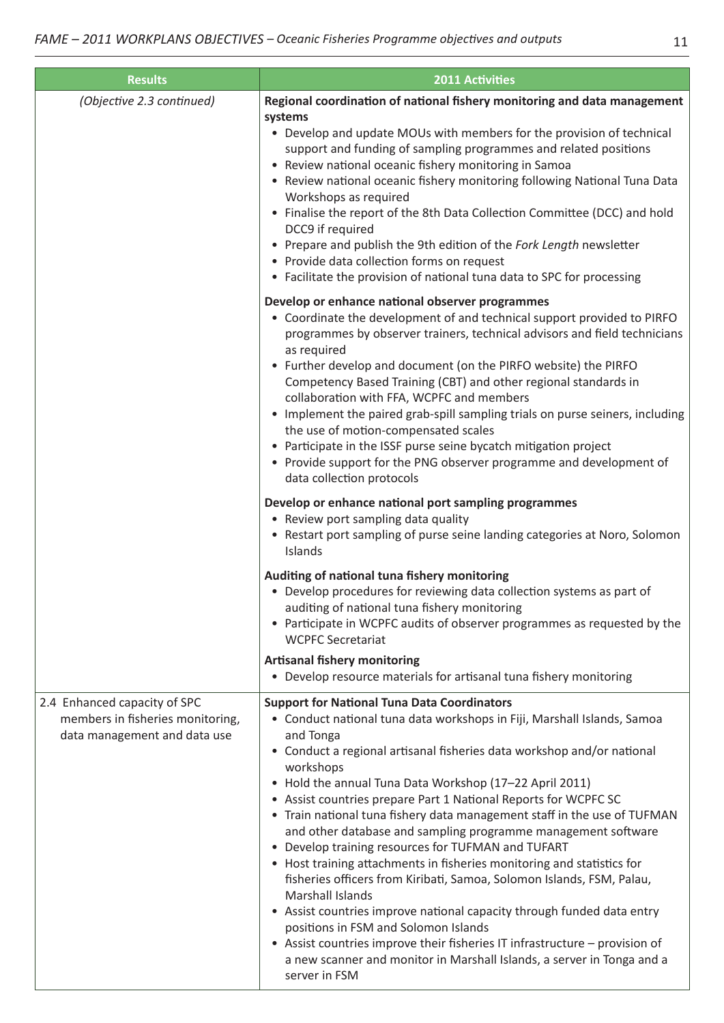| <b>Results</b>                                                                                   | <b>2011 Activities</b>                                                                                                                                                                                                                                                                                                                                                                                                                                                                                                                                                                                                                                                                                                                                                                                                                                                                                                                                                                                                                       |
|--------------------------------------------------------------------------------------------------|----------------------------------------------------------------------------------------------------------------------------------------------------------------------------------------------------------------------------------------------------------------------------------------------------------------------------------------------------------------------------------------------------------------------------------------------------------------------------------------------------------------------------------------------------------------------------------------------------------------------------------------------------------------------------------------------------------------------------------------------------------------------------------------------------------------------------------------------------------------------------------------------------------------------------------------------------------------------------------------------------------------------------------------------|
| (Objective 2.3 continued)                                                                        | Regional coordination of national fishery monitoring and data management<br>systems<br>• Develop and update MOUs with members for the provision of technical<br>support and funding of sampling programmes and related positions<br>• Review national oceanic fishery monitoring in Samoa<br>• Review national oceanic fishery monitoring following National Tuna Data<br>Workshops as required<br>• Finalise the report of the 8th Data Collection Committee (DCC) and hold<br>DCC9 if required<br>• Prepare and publish the 9th edition of the Fork Length newsletter<br>• Provide data collection forms on request<br>• Facilitate the provision of national tuna data to SPC for processing                                                                                                                                                                                                                                                                                                                                              |
|                                                                                                  | Develop or enhance national observer programmes<br>• Coordinate the development of and technical support provided to PIRFO<br>programmes by observer trainers, technical advisors and field technicians<br>as required<br>• Further develop and document (on the PIRFO website) the PIRFO<br>Competency Based Training (CBT) and other regional standards in<br>collaboration with FFA, WCPFC and members<br>• Implement the paired grab-spill sampling trials on purse seiners, including<br>the use of motion-compensated scales<br>• Participate in the ISSF purse seine bycatch mitigation project<br>• Provide support for the PNG observer programme and development of<br>data collection protocols                                                                                                                                                                                                                                                                                                                                   |
|                                                                                                  | Develop or enhance national port sampling programmes<br>• Review port sampling data quality<br>• Restart port sampling of purse seine landing categories at Noro, Solomon<br>Islands                                                                                                                                                                                                                                                                                                                                                                                                                                                                                                                                                                                                                                                                                                                                                                                                                                                         |
|                                                                                                  | Auditing of national tuna fishery monitoring<br>• Develop procedures for reviewing data collection systems as part of<br>auditing of national tuna fishery monitoring<br>• Participate in WCPFC audits of observer programmes as requested by the<br><b>WCPFC Secretariat</b>                                                                                                                                                                                                                                                                                                                                                                                                                                                                                                                                                                                                                                                                                                                                                                |
|                                                                                                  | <b>Artisanal fishery monitoring</b><br>• Develop resource materials for artisanal tuna fishery monitoring                                                                                                                                                                                                                                                                                                                                                                                                                                                                                                                                                                                                                                                                                                                                                                                                                                                                                                                                    |
| 2.4 Enhanced capacity of SPC<br>members in fisheries monitoring,<br>data management and data use | <b>Support for National Tuna Data Coordinators</b><br>• Conduct national tuna data workshops in Fiji, Marshall Islands, Samoa<br>and Tonga<br>• Conduct a regional artisanal fisheries data workshop and/or national<br>workshops<br>• Hold the annual Tuna Data Workshop (17-22 April 2011)<br>• Assist countries prepare Part 1 National Reports for WCPFC SC<br>• Train national tuna fishery data management staff in the use of TUFMAN<br>and other database and sampling programme management software<br>• Develop training resources for TUFMAN and TUFART<br>• Host training attachments in fisheries monitoring and statistics for<br>fisheries officers from Kiribati, Samoa, Solomon Islands, FSM, Palau,<br><b>Marshall Islands</b><br>• Assist countries improve national capacity through funded data entry<br>positions in FSM and Solomon Islands<br>• Assist countries improve their fisheries IT infrastructure - provision of<br>a new scanner and monitor in Marshall Islands, a server in Tonga and a<br>server in FSM |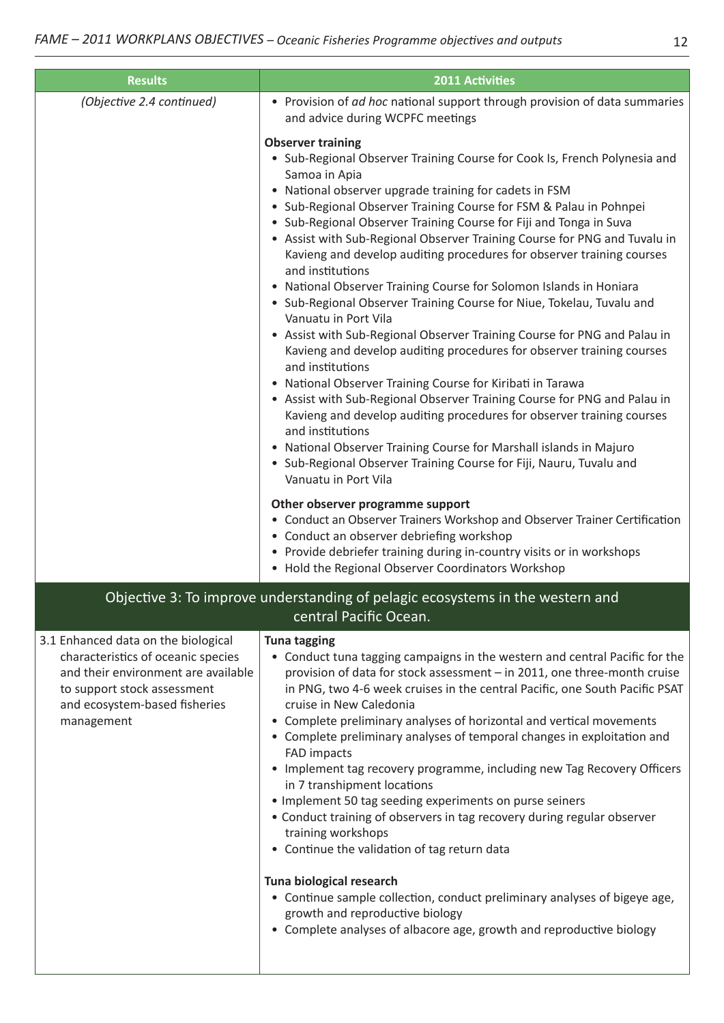| <b>Results</b>                                                                                                                                                                                 | <b>2011 Activities</b>                                                                                                                                                                                                                                                                                                                                                                                                                                                                                                                                                                                                                                                                                                                                                                                                                                                                                                                                                                                                                                                                                                                                                                                                                                                                                                                                                                                                                                                                                                                                           |
|------------------------------------------------------------------------------------------------------------------------------------------------------------------------------------------------|------------------------------------------------------------------------------------------------------------------------------------------------------------------------------------------------------------------------------------------------------------------------------------------------------------------------------------------------------------------------------------------------------------------------------------------------------------------------------------------------------------------------------------------------------------------------------------------------------------------------------------------------------------------------------------------------------------------------------------------------------------------------------------------------------------------------------------------------------------------------------------------------------------------------------------------------------------------------------------------------------------------------------------------------------------------------------------------------------------------------------------------------------------------------------------------------------------------------------------------------------------------------------------------------------------------------------------------------------------------------------------------------------------------------------------------------------------------------------------------------------------------------------------------------------------------|
| (Objective 2.4 continued)                                                                                                                                                                      | • Provision of ad hoc national support through provision of data summaries<br>and advice during WCPFC meetings                                                                                                                                                                                                                                                                                                                                                                                                                                                                                                                                                                                                                                                                                                                                                                                                                                                                                                                                                                                                                                                                                                                                                                                                                                                                                                                                                                                                                                                   |
|                                                                                                                                                                                                | <b>Observer training</b><br>• Sub-Regional Observer Training Course for Cook Is, French Polynesia and<br>Samoa in Apia<br>• National observer upgrade training for cadets in FSM<br>• Sub-Regional Observer Training Course for FSM & Palau in Pohnpei<br>• Sub-Regional Observer Training Course for Fiji and Tonga in Suva<br>• Assist with Sub-Regional Observer Training Course for PNG and Tuvalu in<br>Kavieng and develop auditing procedures for observer training courses<br>and institutions<br>• National Observer Training Course for Solomon Islands in Honiara<br>• Sub-Regional Observer Training Course for Niue, Tokelau, Tuvalu and<br>Vanuatu in Port Vila<br>• Assist with Sub-Regional Observer Training Course for PNG and Palau in<br>Kavieng and develop auditing procedures for observer training courses<br>and institutions<br>• National Observer Training Course for Kiribati in Tarawa<br>• Assist with Sub-Regional Observer Training Course for PNG and Palau in<br>Kavieng and develop auditing procedures for observer training courses<br>and institutions<br>• National Observer Training Course for Marshall islands in Majuro<br>• Sub-Regional Observer Training Course for Fiji, Nauru, Tuvalu and<br>Vanuatu in Port Vila<br>Other observer programme support<br>• Conduct an Observer Trainers Workshop and Observer Trainer Certification<br>• Conduct an observer debriefing workshop<br>• Provide debriefer training during in-country visits or in workshops<br>• Hold the Regional Observer Coordinators Workshop |
|                                                                                                                                                                                                | Objective 3: To improve understanding of pelagic ecosystems in the western and<br>central Pacific Ocean.                                                                                                                                                                                                                                                                                                                                                                                                                                                                                                                                                                                                                                                                                                                                                                                                                                                                                                                                                                                                                                                                                                                                                                                                                                                                                                                                                                                                                                                         |
| 3.1 Enhanced data on the biological<br>characteristics of oceanic species<br>and their environment are available<br>to support stock assessment<br>and ecosystem-based fisheries<br>management | <b>Tuna tagging</b><br>• Conduct tuna tagging campaigns in the western and central Pacific for the<br>provision of data for stock assessment - in 2011, one three-month cruise<br>in PNG, two 4-6 week cruises in the central Pacific, one South Pacific PSAT<br>cruise in New Caledonia<br>Complete preliminary analyses of horizontal and vertical movements<br>• Complete preliminary analyses of temporal changes in exploitation and<br><b>FAD impacts</b><br>• Implement tag recovery programme, including new Tag Recovery Officers<br>in 7 transhipment locations<br>• Implement 50 tag seeding experiments on purse seiners<br>• Conduct training of observers in tag recovery during regular observer<br>training workshops<br>• Continue the validation of tag return data<br>Tuna biological research<br>• Continue sample collection, conduct preliminary analyses of bigeye age,<br>growth and reproductive biology<br>• Complete analyses of albacore age, growth and reproductive biology                                                                                                                                                                                                                                                                                                                                                                                                                                                                                                                                                        |